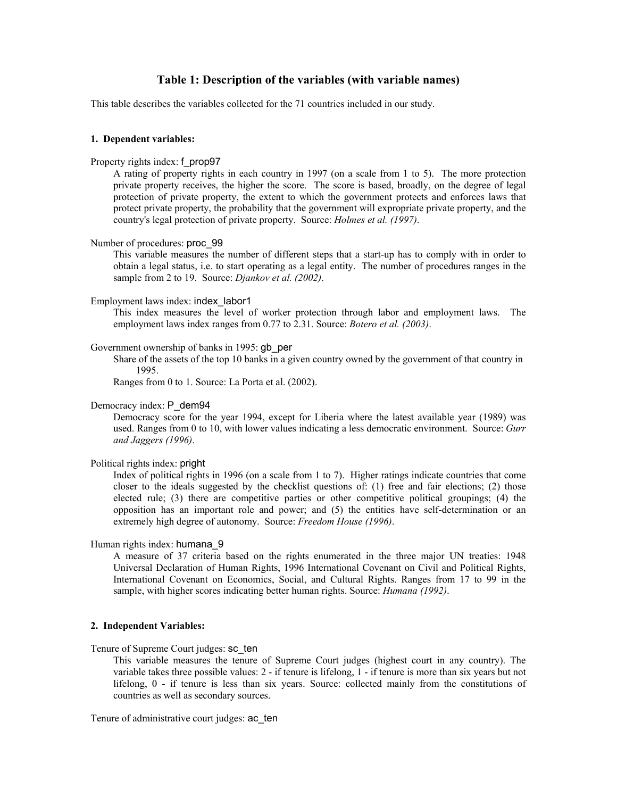# **Table 1: Description of the variables (with variable names)**

This table describes the variables collected for the 71 countries included in our study.

## **1. Dependent variables:**

#### Property rights index: f\_prop97

A rating of property rights in each country in 1997 (on a scale from 1 to 5). The more protection private property receives, the higher the score. The score is based, broadly, on the degree of legal protection of private property, the extent to which the government protects and enforces laws that protect private property, the probability that the government will expropriate private property, and the country's legal protection of private property. Source: *Holmes et al. (1997)*.

## Number of procedures: proc\_99

This variable measures the number of different steps that a start-up has to comply with in order to obtain a legal status, i.e. to start operating as a legal entity. The number of procedures ranges in the sample from 2 to 19. Source: *Djankov et al. (2002)*.

#### Employment laws index: index\_labor1

This index measures the level of worker protection through labor and employment laws. The employment laws index ranges from 0.77 to 2.31. Source: *Botero et al. (2003)*.

### Government ownership of banks in 1995: gb\_per

Share of the assets of the top 10 banks in a given country owned by the government of that country in 1995.

Ranges from 0 to 1. Source: La Porta et al. (2002).

## Democracy index: P\_dem94

 Democracy score for the year 1994, except for Liberia where the latest available year (1989) was used. Ranges from 0 to 10, with lower values indicating a less democratic environment. Source: *Gurr and Jaggers (1996)*.

### Political rights index: pright

Index of political rights in 1996 (on a scale from 1 to 7). Higher ratings indicate countries that come closer to the ideals suggested by the checklist questions of: (1) free and fair elections; (2) those elected rule; (3) there are competitive parties or other competitive political groupings; (4) the opposition has an important role and power; and (5) the entities have self-determination or an extremely high degree of autonomy. Source: *Freedom House (1996)*.

# Human rights index: humana\_9

A measure of 37 criteria based on the rights enumerated in the three major UN treaties: 1948 Universal Declaration of Human Rights, 1996 International Covenant on Civil and Political Rights, International Covenant on Economics, Social, and Cultural Rights. Ranges from 17 to 99 in the sample, with higher scores indicating better human rights. Source: *Humana (1992)*.

## **2. Independent Variables:**

Tenure of Supreme Court judges: sc\_ten

This variable measures the tenure of Supreme Court judges (highest court in any country). The variable takes three possible values: 2 - if tenure is lifelong, 1 - if tenure is more than six years but not lifelong, 0 - if tenure is less than six years. Source: collected mainly from the constitutions of countries as well as secondary sources.

Tenure of administrative court judges: ac\_ten